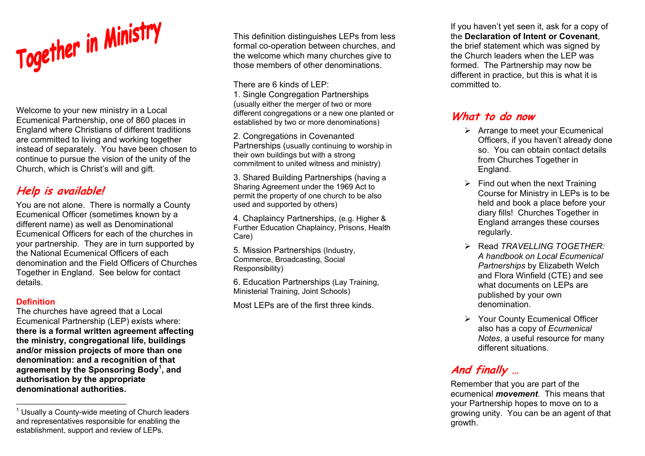

Welcome to your new ministry in a Local Ecumenical Partnership, one of 860 places in England where Christians of different traditions are committed to living and working together instead of separately. You have been chosen to continue to pursue the vision of the unity of the Church, which is Christ's will and gift.

## **Help is available!**

You are not alone. There is normally a County Ecumenical Officer (sometimes known by a different name) as well as Denominational Ecumenical Officers for each of the churches in your partnership. They are in turn supported by the National Ecumenical Officers of each denomination and the Field Officers of Churches Together in England. See below for contact details.

#### **Definition**

The churches have agreed that a Local Ecumenical Partnership (LEP) exists where: **there is a formal written agreement affecting the ministry, congregational life, buildings and/or mission projects of more than one denomination: and a recognition of that agreement by the Sponsoring Body1, and authorisation by the appropriate denominational authorities.** 

This definition distinguishes LEPs from less formal co-operation between churches, and the welcome which many churches give to those members of other denominations.

There are 6 kinds of LEP:

1. Single Congregation Partnerships (usually either the merger of two or more different congregations or a new one planted or established by two or more denominations)

2. Congregations in Covenanted Partnerships (usually continuing to worship in their own buildings but with a strong commitment to united witness and ministry)

3. Shared Building Partnerships (having a Sharing Agreement under the 1969 Act to permit the property of one church to be also used and supported by others)

4. Chaplaincy Partnerships, (e.g. Higher & Further Education Chaplaincy, Prisons, Health Care)

5. Mission Partnerships (Industry, Commerce, Broadcasting, Social Responsibility)

6. Education Partnerships (Lay Training, Ministerial Training, Joint Schools)

Most LEPs are of the first three kinds.

If you haven't yet seen it, ask for a copy of the **Declaration of Intent or Covenant**, the brief statement which was signed by the Church leaders when the LEP was formed. The Partnership may now be different in practice, but this is what it is committed to.

### **What to do now**

- $\triangleright$  Arrange to meet your Ecumenical Officers, if you haven't already done so. You can obtain contact details from Churches Together in England.
- $\triangleright$  Find out when the next Training Course for Ministry in LEPs is to be held and book a place before your diary fills! Churches Together in England arranges these courses regularly.
- ¾ Read *TRAVELLING TOGETHER:A handbook on Local Ecumenical Partnerships* by Elizabeth Welch and Flora Winfield (CTE) and see what documents on LEPs are published by your own denomination.
- ¾ Your County Ecumenical Officer also has a copy of *Ecumenical Notes*, a useful resource for many different situations.

# **And finally …**

Remember that you are part of the ecumenical *movement*. This means that your Partnership hopes to move on to a growing unity. You can be an agent of that growth.

 $1$  Usually a County-wide meeting of Church leaders and representatives responsible for enabling the establishment, support and review of LEPs.